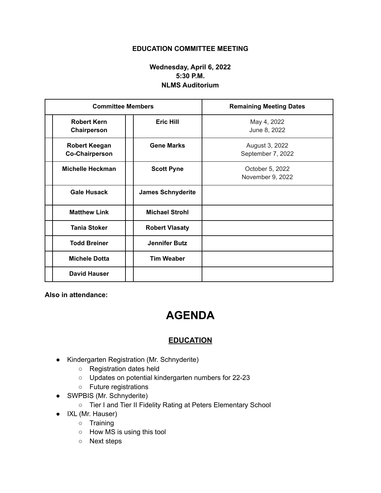## **EDUCATION COMMITTEE MEETING**

## **Wednesday, April 6, 2022 5:30 P.M. NLMS Auditorium**

| <b>Committee Members</b>                      |                          | <b>Remaining Meeting Dates</b>      |
|-----------------------------------------------|--------------------------|-------------------------------------|
| <b>Robert Kern</b><br>Chairperson             | <b>Eric Hill</b>         | May 4, 2022<br>June 8, 2022         |
| <b>Robert Keegan</b><br><b>Co-Chairperson</b> | <b>Gene Marks</b>        | August 3, 2022<br>September 7, 2022 |
| <b>Michelle Heckman</b>                       | <b>Scott Pyne</b>        | October 5, 2022<br>November 9, 2022 |
| <b>Gale Husack</b>                            | <b>James Schnyderite</b> |                                     |
| <b>Matthew Link</b>                           | <b>Michael Strohl</b>    |                                     |
| <b>Tania Stoker</b>                           | <b>Robert Vlasaty</b>    |                                     |
| <b>Todd Breiner</b>                           | <b>Jennifer Butz</b>     |                                     |
| <b>Michele Dotta</b>                          | <b>Tim Weaber</b>        |                                     |
| <b>David Hauser</b>                           |                          |                                     |

**Also in attendance:**

## **AGENDA**

## **EDUCATION**

- Kindergarten Registration (Mr. Schnyderite)
	- Registration dates held
	- Updates on potential kindergarten numbers for 22-23
	- Future registrations
- SWPBIS (Mr. Schnyderite)
	- Tier I and Tier II Fidelity Rating at Peters Elementary School
- IXL (Mr. Hauser)
	- Training
	- How MS is using this tool
	- Next steps